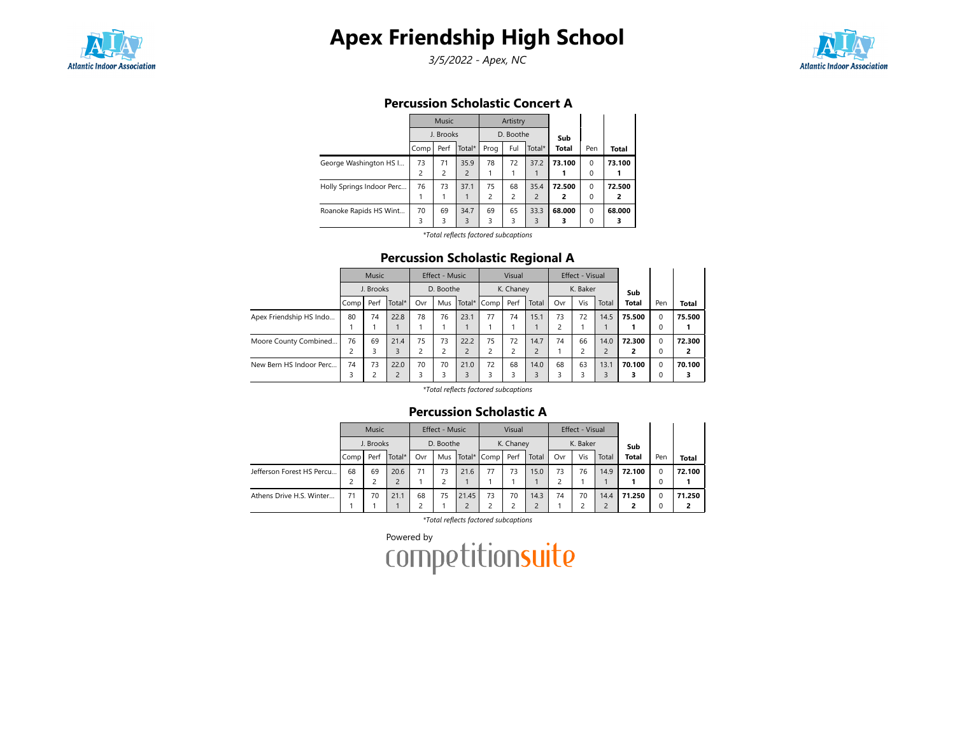

3/5/2022 - Apex, NC



### Percussion Scholastic Concert A

|                           |                | Music     |                |      | Artistry       |                |                |          |        |
|---------------------------|----------------|-----------|----------------|------|----------------|----------------|----------------|----------|--------|
|                           |                | J. Brooks |                |      | D. Boothe      |                | Sub            |          |        |
|                           | Comp           | Perf      | Total*         | Prog | Ful            | Total*         | <b>Total</b>   | Pen      | Total  |
| George Washington HS I    | 73             | 71        | 35.9           | 78   | 72             | 37.2           | 73.100         | $\Omega$ | 73.100 |
|                           | $\overline{c}$ | 2         | $\overline{2}$ |      |                |                |                | 0        |        |
| Holly Springs Indoor Perc | 76             | 73        | 37.1           | 75   | 68             | 35.4           | 72.500         | $\Omega$ | 72.500 |
|                           |                |           |                | 2    | $\overline{c}$ | $\overline{2}$ | $\overline{2}$ | $\Omega$ | 2      |
| Roanoke Rapids HS Wint    | 70             | 69        | 34.7           | 69   | 65             | 33.3           | 68.000         | $\Omega$ | 68.000 |
|                           | 3              | 3         | 3              | 3    | 3              | 3              | 3              | 0        | 3      |

\*Total reflects factored subcaptions

### Percussion Scholastic Regional A

|                         |      | Music     |                |                | <b>Effect - Music</b> |      |                | Visual    |                |     | Effect - Visual |                |              |             |              |
|-------------------------|------|-----------|----------------|----------------|-----------------------|------|----------------|-----------|----------------|-----|-----------------|----------------|--------------|-------------|--------------|
|                         |      | J. Brooks |                |                | D. Boothe             |      |                | K. Chaney |                |     | K. Baker        |                | Sub          |             |              |
|                         | Comp | Perf      | Total*         | Ovr            | Mus                   |      | Total* I Comp  | Perf      | Total          | Ovr | Vis             | Total          | <b>Total</b> | Pen         | <b>Total</b> |
| Apex Friendship HS Indo | 80   | 74        | 22.8           | 78             | 76                    | 23.1 | 77             | 74        | 15.1           | 73  | 72              | 14.5           | 75.500       | 0           | 75.500       |
|                         |      |           |                |                |                       |      |                |           |                | ∍   |                 |                |              | 0           |              |
| Moore County Combined   | 76   | 69        | 21.4           | 75             | 73                    | 22.2 | 75             | 72        | 14.7           | 74  | 66              | 14.0           | 72.300       | $\mathbf 0$ | 72.300       |
|                         |      | 3         | 3              | $\overline{c}$ | c                     |      | $\overline{c}$ |           | $\overline{c}$ |     |                 | $\overline{2}$ |              | 0           |              |
| New Bern HS Indoor Perc | 74   | 73        | 22.0           | 70             | 70                    | 21.0 | 72             | 68        | 14.0           | 68  | 63              | 13.1           | 70.100       | 0           | 70.100       |
|                         |      |           | $\overline{c}$ | 3              | 3                     |      | 3              | 3         | 3              |     |                 | $\overline{3}$ |              | 0           | 3            |

\*Total reflects factored subcaptions

#### Percussion Scholastic A

|                           |      | <b>Music</b> |        |     | Effect - Music |       |                 | Visual    |       |     | Effect - Visual |       |              |                      |              |
|---------------------------|------|--------------|--------|-----|----------------|-------|-----------------|-----------|-------|-----|-----------------|-------|--------------|----------------------|--------------|
|                           |      | J. Brooks    |        |     | D. Boothe      |       |                 | K. Chaney |       |     | K. Baker        |       | Sub          |                      |              |
|                           | Comp | Perf         | Total* | Ovr |                |       | Mus Total* Comp | Perf      | Total | Ovr | Vis             | Total | <b>Total</b> | Pen<br>$\Omega$<br>0 | <b>Total</b> |
| Jefferson Forest HS Percu | 68   | 69           | 20.6   | 71  | 73             | 21.6  | 77              | 73        | 15.0  | 73  | 76              | 14.9  | 72.100       |                      | 72.100       |
|                           |      |              | 2      |     |                |       |                 |           |       |     |                 |       |              |                      |              |
| Athens Drive H.S. Winter  | 71   | 70           | 21.1   | 68  | 75             | 21.45 | 73              | 70        | 14.3  | 74  | 70              | 14.4  | 71.250       | <sup>0</sup>         | 71.250       |
|                           |      |              |        | 2   |                |       |                 |           |       |     |                 |       |              |                      |              |

\*Total reflects factored subcaptions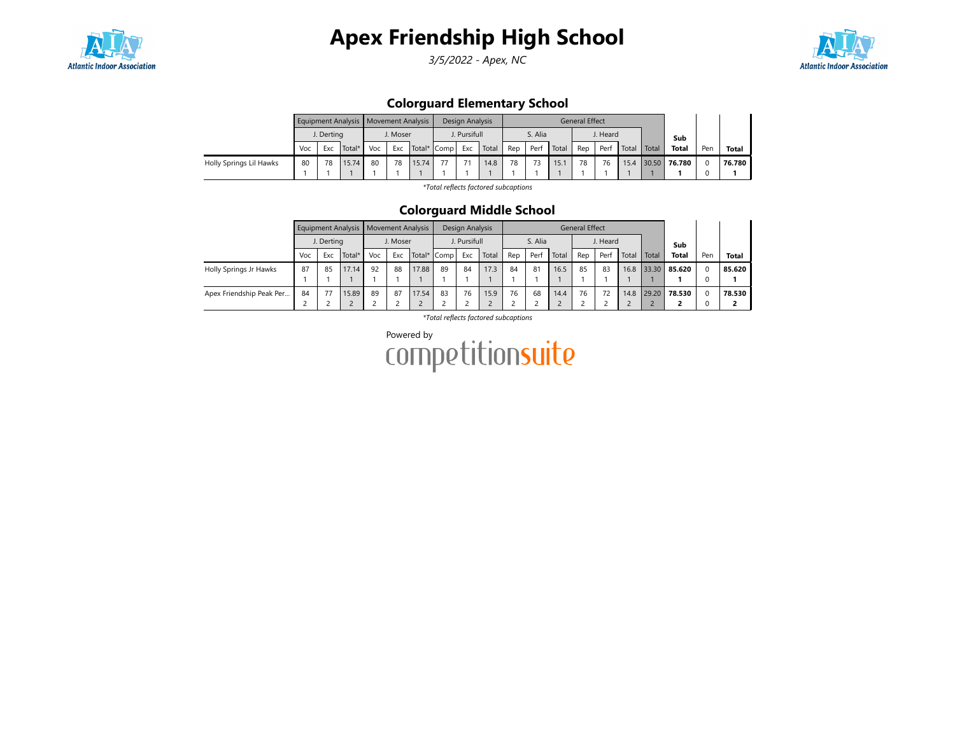

3/5/2022 - Apex, NC



## Colorguard Elementary School

|                         |     |            | Equipment Analysis   Movement Analysis |     |                                |       |    | Design Analysis |       |     |         |       | <b>General Effect</b> |          |       |       |        |     |              |
|-------------------------|-----|------------|----------------------------------------|-----|--------------------------------|-------|----|-----------------|-------|-----|---------|-------|-----------------------|----------|-------|-------|--------|-----|--------------|
|                         |     | J. Derting |                                        |     |                                |       |    | J. Pursifull    |       |     | S. Alia |       |                       | J. Heard |       |       | Sub    |     |              |
|                         | Voc | Exc        | Total*                                 | Voc | J. Moser<br>Exc<br>Total* Comp |       |    | Exc             | Total | Rep | Perf    | Total | Rep                   | Perf     | Total | Total | Total  | Pen | <b>Total</b> |
| Holly Springs Lil Hawks | 80  | 78         | 15.74                                  | 80  | 78                             | 15.74 | 77 | 74              | 14.8  | 78  |         | 15.7  | 78                    | 76       | 15.4  | 30.50 | 76.780 |     | 76.780       |
|                         |     |            |                                        |     |                                |       |    |                 |       |     |         |       |                       |          |       |       |        |     |              |

\*Total reflects factored subcaptions

### Colorguard Middle School

|                          |     |            | Equipment Analysis   Movement Analysis |     |          |             |    | Design Analysis |       |     |         |       | <b>General Effect</b> |          |       |       |              |     |        |
|--------------------------|-----|------------|----------------------------------------|-----|----------|-------------|----|-----------------|-------|-----|---------|-------|-----------------------|----------|-------|-------|--------------|-----|--------|
|                          |     | J. Derting |                                        |     | J. Moser |             |    | J. Pursifull    |       |     | S. Alia |       |                       | J. Heard |       |       | Sub          |     |        |
|                          | Voc | Exc        | Total*                                 | Voc | Exc      | Total* Comp |    | Exc             | Total | Rep | Perf    | Total | Rep                   | Perf     | Total | Total | <b>Total</b> | Pen | Total  |
| Holly Springs Jr Hawks   | 87  | 85         | 17.14                                  | 92  | 88       | 17.88       | 89 | 84              | 17.3  | 84  | 81      | 16.5  | 85                    | 83       | 16.8  | 33.30 | 85.620       | 0   | 85.620 |
|                          |     |            |                                        |     |          |             |    |                 |       |     |         |       |                       |          |       |       |              |     |        |
| Apex Friendship Peak Per | 84  | 77         | 15.89                                  | 89  | 87       | 17.54       | 83 | 76              | 15.9  | 76  | 68      | 14.4  | 76                    | 72       | 14.8  | 29.20 | 78.530       | 0   | 78.530 |
|                          |     |            |                                        |     |          |             |    |                 |       |     |         |       |                       |          |       |       | -            |     | 2      |

\*Total reflects factored subcaptions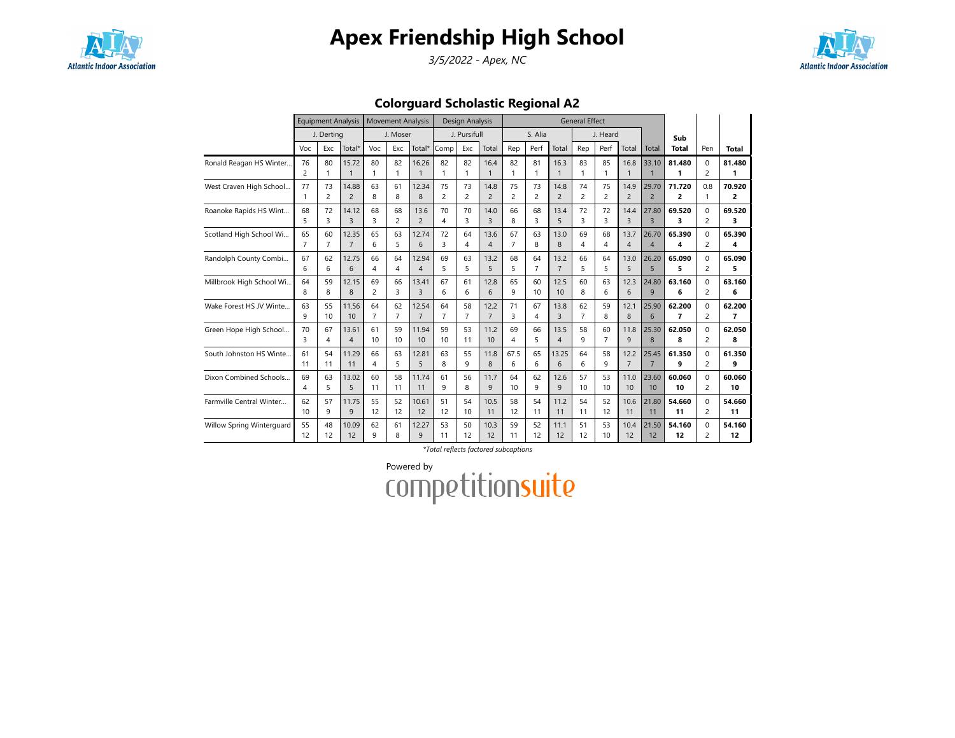

3/5/2022 - Apex, NC



Colorguard Scholastic Regional A2

|                           |                |                | Equipment Analysis |                | <b>Movement Analysis</b> |                |                | Design Analysis |                |                |                |                | <b>General Effect</b> |                |                |                |                |                |        |
|---------------------------|----------------|----------------|--------------------|----------------|--------------------------|----------------|----------------|-----------------|----------------|----------------|----------------|----------------|-----------------------|----------------|----------------|----------------|----------------|----------------|--------|
|                           |                | J. Derting     |                    |                | J. Moser                 |                |                | J. Pursifull    |                |                | S. Alia        |                |                       | J. Heard       |                |                | Sub            |                |        |
|                           | Voc            | Exc            | Total*             | Voc            | Exc                      | Total*         | Comp           | Exc             | Total          | Rep            | Perf           | Total          | Rep                   | Perf           | Total          | Total          | <b>Total</b>   | Pen            | Total  |
| Ronald Reagan HS Winter   | 76             | 80             | 15.72              | 80             | 82                       | 16.26          | 82             | 82              | 16.4           | 82             | 81             | 16.3           | 83                    | 85             | 16.8           | 33.10          | 81.480         | $\Omega$       | 81.480 |
|                           | $\overline{c}$ | 1              | $\mathbf{1}$       | $\mathbf{1}$   | 1                        | $\mathbf 1$    |                | 1               | $\mathbf{1}$   | 1              | $\mathbf{1}$   | $\mathbf{1}$   |                       | 1              | $\mathbf{1}$   |                | 1              | $\overline{c}$ | 1      |
| West Craven High School   | 77             | 73             | 14.88              | 63             | 61                       | 12.34          | 75             | 73              | 14.8           | 75             | 73             | 14.8           | 74                    | 75             | 14.9           | 29.70          | 71.720         | 0.8            | 70.920 |
|                           | 1              | 2              | $\overline{2}$     | 8              | 8                        | 8              | $\overline{2}$ | $\overline{c}$  | $\overline{2}$ | $\overline{c}$ | $\overline{c}$ | $\overline{c}$ | 2                     | 2              | $\overline{2}$ | $\overline{2}$ | 2              |                | 2      |
| Roanoke Rapids HS Wint    | 68             | 72             | 14.12              | 68             | 68                       | 13.6           | 70             | 70              | 14.0           | 66             | 68             | 13.4           | 72                    | 72             | 14.4           | 27.80          | 69.520         | $\Omega$       | 69.520 |
|                           | 5              | 3              | $\overline{3}$     | 3              | $\overline{c}$           | $\overline{2}$ | 4              | 3               | $\overline{3}$ | 8              | 3              | 5              | 3                     | 3              | 3              | $\overline{3}$ | 3              | $\overline{c}$ | 3      |
| Scotland High School Wi   | 65             | 60             | 12.35              | 65             | 63                       | 12.74          | 72             | 64              | 13.6           | 67             | 63             | 13.0           | 69                    | 68             | 13.7           | 26.70          | 65.390         | $\Omega$       | 65.390 |
|                           | $\overline{7}$ | $\overline{7}$ | $\overline{7}$     | 6              | 5                        | 6              | 3              | 4               | $\overline{4}$ | 7              | 8              | 8              | 4                     | 4              | $\overline{4}$ | $\overline{4}$ | 4              | $\overline{c}$ | 4      |
| Randolph County Combi     | 67             | 62             | 12.75              | 66             | 64                       | 12.94          | 69             | 63              | 13.2           | 68             | 64             | 13.2           | 66                    | 64             | 13.0           | 26.20          | 65.090         | $\Omega$       | 65.090 |
|                           | 6              | 6              | 6                  | $\overline{4}$ | 4                        | $\overline{A}$ | 5              | 5               | 5              | 5              | $\overline{7}$ | $\overline{7}$ | 5                     | 5              | 5              | 5              | 5              | 2              | 5      |
| Millbrook High School Wi  | 64             | 59             | 12.15              | 69             | 66                       | 13.41          | 67             | 61              | 12.8           | 65             | 60             | 12.5           | 60                    | 63             | 12.3           | 24.80          | 63.160         | $\Omega$       | 63.160 |
|                           | 8              | 8              | 8                  | $\overline{c}$ | 3                        | $\overline{3}$ | 6              | 6               | 6              | 9              | 10             | 10             | 8                     | 6              | 6              | 9              | 6              | $\overline{2}$ | 6      |
| Wake Forest HS JV Winte   | 63             | 55             | 11.56              | 64             | 62                       | 12.54          | 64             | 58              | 12.2           | 71             | 67             | 13.8           | 62                    | 59             | 12.1           | 25.90          | 62.200         | $\Omega$       | 62.200 |
|                           | 9              | 10             | 10                 | $\overline{7}$ | $\overline{7}$           | $\overline{7}$ | $\overline{7}$ | $\overline{7}$  | $\overline{7}$ | 3              | 4              | 3              | 7                     | 8              | 8              | 6              | $\overline{7}$ | $\overline{c}$ | 7      |
| Green Hope High School    | 70             | 67             | 13.61              | 61             | 59                       | 11.94          | 59             | 53              | 11.2           | 69             | 66             | 13.5           | 58                    | 60             | 11.8           | 25.30          | 62.050         | $\Omega$       | 62.050 |
|                           | 3              | 4              | $\overline{4}$     | 10             | 10                       | 10             | 10             | 11              | 10             | 4              | 5              | $\overline{4}$ | 9                     | $\overline{7}$ | 9              | 8              | 8              | $\overline{c}$ | 8      |
| South Johnston HS Winte   | 61             | 54             | 11.29              | 66             | 63                       | 12.81          | 63             | 55              | 11.8           | 67.5           | 65             | 13.25          | 64                    | 58             | 12.2           | 25.45          | 61.350         | $\Omega$       | 61.350 |
|                           | 11             | 11             | 11                 | 4              | 5                        | 5              | 8              | 9               | 8              | 6              | 6              | 6              | 6                     | 9              | $\overline{7}$ | $\overline{7}$ | 9              | $\overline{c}$ | 9      |
| Dixon Combined Schools    | 69             | 63             | 13.02              | 60             | 58                       | 11.74          | 61             | 56              | 11.7           | 64             | 62             | 12.6           | 57                    | 53             | 11.0           | 23.60          | 60.060         | $\Omega$       | 60.060 |
|                           | 4              | 5              | 5                  | 11             | 11                       | 11             | 9              | 8               | 9              | 10             | 9              | 9              | 10                    | 10             | 10             | 10             | 10             | 2              | 10     |
| Farmville Central Winter  | 62             | 57             | 11.75              | 55             | 52                       | 10.61          | 51             | 54              | 10.5           | 58             | 54             | 11.2           | 54                    | 52             | 10.6           | 21.80          | 54.660         | $\Omega$       | 54.660 |
|                           | 10             | 9              | 9                  | 12             | 12                       | 12             | 12             | 10              | 11             | 12             | 11             | 11             | 11                    | 12             | 11             | 11             | 11             | 2              | 11     |
| Willow Spring Winterguard | 55             | 48             | 10.09              | 62             | 61                       | 12.27          | 53             | 50              | 10.3           | 59             | 52             | 11.1           | 51                    | 53             | 10.4           | 21.50          | 54.160         | $\Omega$       | 54.160 |
|                           | 12             | 12             | 12                 | 9              | 8                        | $\mathsf{Q}$   | 11             | 12              | 12             | 11             | 12             | 12             | 12                    | 10             | 12             | 12             | 12             | $\overline{c}$ | 12     |

\*Total reflects factored subcaptions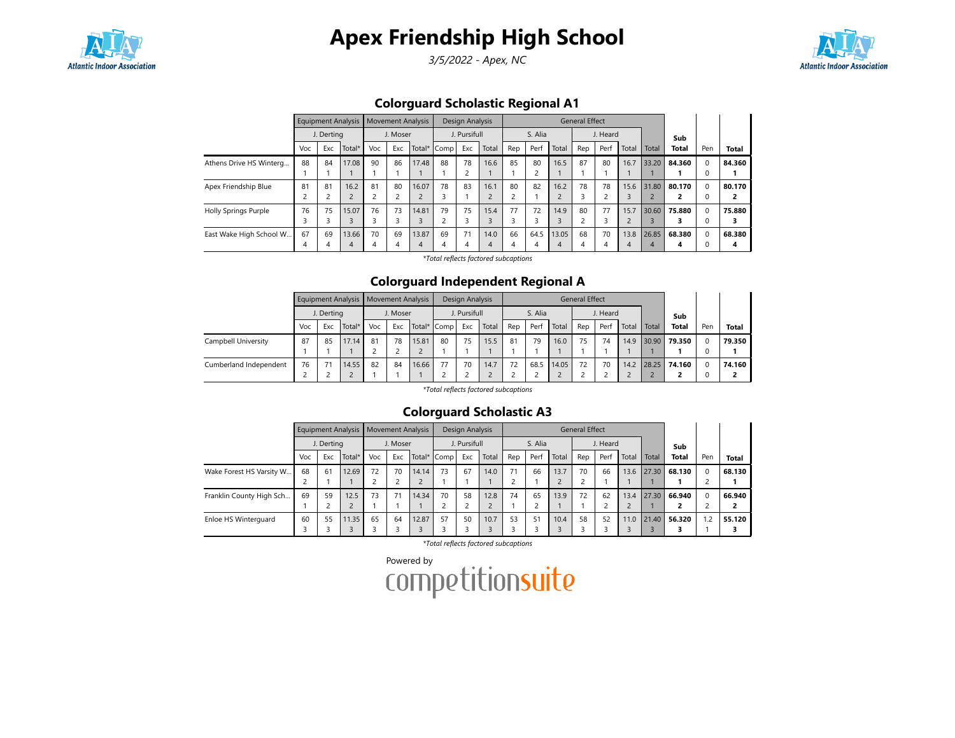

3/5/2022 - Apex, NC



## Colorguard Scholastic Regional A1

|                             |     |            | <b>Equipment Analysis</b> |     |          | <b>Movement Analysis</b> |             | Design Analysis |                |                |         |       | <b>General Effect</b> |                |                |       |              |          |              |
|-----------------------------|-----|------------|---------------------------|-----|----------|--------------------------|-------------|-----------------|----------------|----------------|---------|-------|-----------------------|----------------|----------------|-------|--------------|----------|--------------|
|                             |     | J. Dertina |                           |     | J. Moser |                          |             | J. Pursifull    |                |                | S. Alia |       |                       | J. Heard       |                |       | Sub          |          |              |
|                             | Voc | Exc        | Total*                    | Voc | Exc      |                          | Total* Comp | Exc             | Total          | Rep            | Perf    | Total | Rep                   | Perf           | Total          | Total | <b>Total</b> | Pen      | <b>Total</b> |
| Athens Drive HS Winterg     | 88  | 84         | 17.08                     | 90  | 86       | 17.48                    | 88          | 78              | 16.6           | 85             | 80      | 16.5  | 87                    | 80             | 16.7           | 33.20 | 84.360       | $\Omega$ | 84.360       |
|                             |     |            |                           |     |          |                          |             | $\overline{c}$  |                |                |         |       |                       |                |                |       |              | 0        |              |
| Apex Friendship Blue        | 81  | 81         | 16.2                      | 81  | 80       | 16.07                    | 78          | 83              | 16.1           | 80             | 82      | 16.2  | 78                    | 78             | 15.6           | 31.80 | 80.170       | $\Omega$ | 80.170       |
|                             |     |            | $\overline{2}$            |     |          |                          | 3           |                 | $\mathbf{D}$   | 2              |         |       | 3                     | $\overline{ }$ |                |       |              | 0        |              |
| <b>Holly Springs Purple</b> | 76  | 75         | 15.07                     | 76  | 73       | 14.81                    | 79          | 75              | 15.4           | 77             | 72      | 14.9  | 80                    | 77             | 15.7           | 30.60 | 75.880       | $\Omega$ | 75.880       |
|                             | 3   |            | 3                         |     |          |                          |             | 3               |                | 3              |         |       | ∍                     | 3              | $\overline{2}$ |       |              | 0        |              |
| East Wake High School W     | 67  | 69         | 13.66                     | 70  | 69       | 13.87                    | 69          | 71              | 14.0           | 66             | 64.5    | 13.05 | 68                    | 70             | 13.8           | 26.85 | 68.380       | $\Omega$ | 68.380       |
|                             | 4   | 4          | $\overline{4}$            | 4   | 4        | 4                        | 4           | 4               | $\overline{4}$ | $\overline{4}$ | 4       | 4     | 4                     | 4              | 4              | 4     | 4            | O        | 4            |

\*Total reflects factored subcaptions

### Colorguard Independent Regional A

|                        |     |            | Equipment Analysis   Movement Analysis |     |                                |       |    | Design Analysis |       |     |         |       | <b>General Effect</b> |          |       |       |              |          |        |
|------------------------|-----|------------|----------------------------------------|-----|--------------------------------|-------|----|-----------------|-------|-----|---------|-------|-----------------------|----------|-------|-------|--------------|----------|--------|
|                        |     | J. Derting |                                        |     | J. Moser<br>Exc<br>Total* Comp |       |    | J. Pursifull    |       |     | S. Alia |       |                       | J. Heard |       |       | Sub          |          |        |
|                        | Voc | Exc        | Total*                                 | Voc |                                |       |    | Exc             | Total | Rep | Perf    | Total | Rep                   | Perf     | Total | Total | <b>Total</b> | Pen      | Total  |
| Campbell University    | 87  | 85         | 17.14                                  | 81  | 78                             | 15.81 | 80 | 75              | 15.5  | 81  | 79      | 16.0  | 75                    | 74       | 14.9  | 30.90 | 79.350       | $\Omega$ | 79.350 |
|                        |     |            |                                        |     |                                |       |    |                 |       |     |         |       |                       |          |       |       |              |          |        |
| Cumberland Independent | 76  |            | 14.55                                  | 82  | 84                             | 16.66 | 77 | 70              | 14.7  | 72  | 68.5    | 14.05 | 72                    | 70       | 14.2  | 28.25 | 74.160       | $\Omega$ | 74.160 |
|                        |     |            |                                        |     |                                |       |    |                 |       |     |         |       |                       |          |       |       |              |          |        |

\*Total reflects factored subcaptions

### Colorguard Scholastic A3

|                          |     |            | Equipment Analysis   Movement Analysis |     |          |             |    | Design Analysis |       |     |         |       | General Effect |          |       |       |              |     |              |
|--------------------------|-----|------------|----------------------------------------|-----|----------|-------------|----|-----------------|-------|-----|---------|-------|----------------|----------|-------|-------|--------------|-----|--------------|
|                          |     | J. Derting |                                        |     | J. Moser |             |    | J. Pursifull    |       |     | S. Alia |       |                | J. Heard |       |       | Sub          |     |              |
|                          | Voc | Exc        | Total*                                 | Voc | Exc      | Total* Comp |    | Exc             | Total | Rep | Perf    | Total | Rep            | Perf     | Total | Total | <b>Total</b> | Pen | <b>Total</b> |
| Wake Forest HS Varsity W | 68  | 61         | 12.69                                  | 72  | 70       | 14.14       | 73 | 67              | 14.0  | 71  | 66      | 13.7  | 70             | 66       | 13.6  | 27.30 | 68.130       |     | 68.130       |
|                          |     |            |                                        |     |          |             |    |                 |       | 2   |         |       |                |          |       |       |              |     |              |
| Franklin County High Sch | 69  | 59         | 12.5                                   | 73  | 71       | 14.34       | 70 | 58              | 12.8  | 74  | 65      | 13.9  | 72             | 62       | 13.4  | 27.30 | 66.940       |     | 66.940       |
|                          |     |            |                                        |     |          |             |    |                 |       |     |         |       |                |          |       |       |              |     |              |
| Enloe HS Winterguard     | 60  | 55         | 11.35                                  | 65  | 64       | 12.87       | 57 | 50              | 10.7  | 53  | 51      | 10.4  | 58             | 52       | 11.0  | 21.40 | 56.320       | 1.2 | 55.120       |
|                          |     |            |                                        |     |          |             |    |                 |       |     |         |       |                |          |       |       |              |     |              |

\*Total reflects factored subcaptions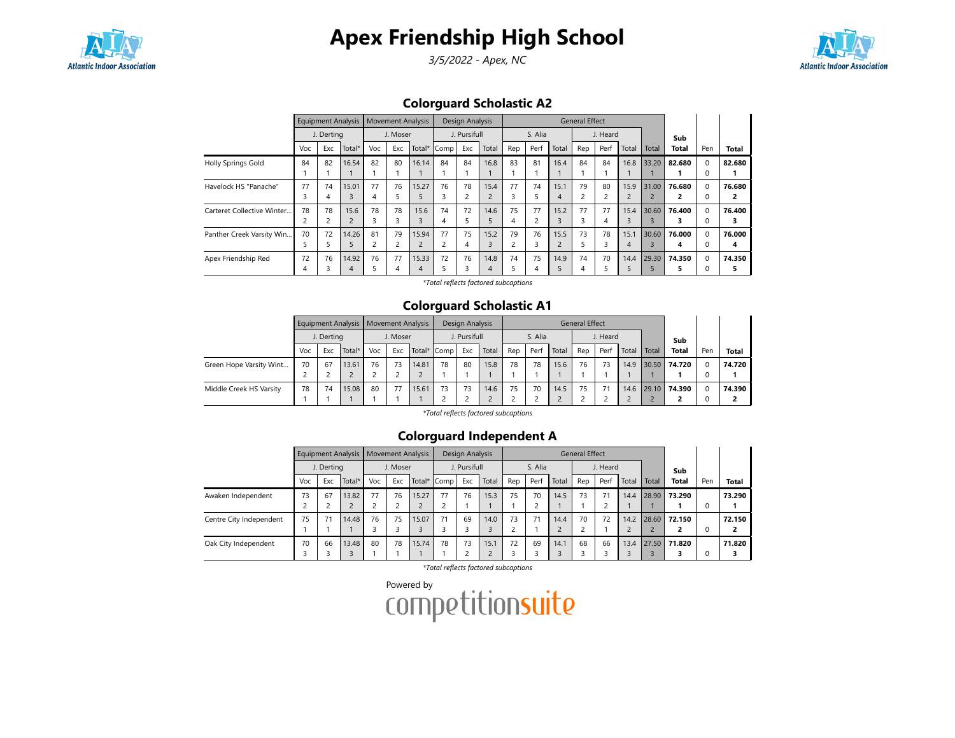

3/5/2022 - Apex, NC



## Colorguard Scholastic A2

|                            |     |            | <b>Equipment Analysis</b> |                         |          | <b>Movement Analysis</b> |      | <b>Design Analysis</b> |                |                |         |       | <b>General Effect</b> |          |                |                |              |          |        |
|----------------------------|-----|------------|---------------------------|-------------------------|----------|--------------------------|------|------------------------|----------------|----------------|---------|-------|-----------------------|----------|----------------|----------------|--------------|----------|--------|
|                            |     | J. Dertina |                           |                         | J. Moser |                          |      | J. Pursifull           |                |                | S. Alia |       |                       | J. Heard |                |                | Sub          |          |        |
|                            | Voc | Exc        | Total*                    | Voc                     | Exc      | Total*                   | Comp | Exc                    | Total          | Rep            | Perf    | Total | Rep                   | Perf     | Total          | Total          | <b>Total</b> | Pen      | Total  |
| <b>Holly Springs Gold</b>  | 84  | 82         | 16.54                     | 82                      | 80       | 16.14                    | 84   | 84                     | 16.8           | 83             | 81      | 16.4  | 84                    | 84       | 16.8           | 33.20          | 82.680       | O        | 82.680 |
|                            |     |            |                           |                         |          |                          |      |                        |                |                |         |       |                       |          |                |                |              |          |        |
| Havelock HS "Panache"      | 77  | 74         | 15.01                     | 77                      | 76       | 15.27                    | 76   | 78                     | 15.4           | 77             | 74      | 15.1  | 79                    | 80       | 15.9           | 31.00          | 76.680       | $\Omega$ | 76.680 |
|                            | 3   |            | 3                         | 4                       |          |                          | 3    | 2                      | $\overline{2}$ | 3              |         | 4     | $\overline{c}$        |          | $\overline{2}$ | $\overline{c}$ |              |          |        |
| Carteret Collective Winter | 78  | 78         | 15.6                      | 78                      | 78       | 15.6                     | 74   | 72                     | 14.6           | 75             | 77      | 15.2  | 77                    | 77       | 15.4           | 30.60          | 76.400       |          | 76.400 |
|                            |     |            | $\overline{2}$            | 3                       | 3        |                          | 4    |                        | 5              | 4              |         | 3     |                       | 4        | 3              |                |              |          |        |
| Panther Creek Varsity Win  | 70  | 72         | 14.26                     | 81                      | 79       | 15.94                    | 77   | 75                     | 15.2           | 79             | 76      | 15.5  | 73                    | 78       | 15.1           | 30.60          | 76.000       |          | 76.000 |
|                            | ב   |            | 5                         | $\overline{\mathbf{c}}$ |          | $\overline{2}$           |      | 4                      | 3              | $\overline{c}$ | 3       |       |                       | 3        | 4              |                | 4            |          | 4      |
| Apex Friendship Red        | 72  | 76         | 14.92                     | 76                      | 77       | 15.33                    | 72   | 76                     | 14.8           | 74             | 75      | 14.9  | 74                    | 70       | 14.4           | 29.30          | 74.350       |          | 74.350 |
|                            | 4   |            | 4                         |                         | 4        |                          |      |                        | 4              | 5              | 4       |       | 4                     |          |                |                |              |          |        |

\*Total reflects factored subcaptions

### Colorguard Scholastic A1

|                         |     |            | Equipment Analysis   Movement Analysis |     |          |       |             | Design Analysis |       |     |         |       | <b>General Effect</b> |          |       |       |              |          |        |
|-------------------------|-----|------------|----------------------------------------|-----|----------|-------|-------------|-----------------|-------|-----|---------|-------|-----------------------|----------|-------|-------|--------------|----------|--------|
|                         |     | J. Derting |                                        |     | J. Moser |       |             | J. Pursifull    |       |     | S. Alia |       |                       | J. Heard |       |       | Sub          |          |        |
|                         | Voc | Exc        | Total*                                 | Voc | Exc      |       | Total* Comp | Exc             | Total | Rep | Perf    | Total | Rep                   | Perf     | Total | Total | Total        | Pen      | Total  |
| Green Hope Varsity Wint | 70  | 67         | 13.61                                  | 76  | 73       | 14.81 | 78          | 80              | 15.8  | 78  | 78      | 15.6  | 76                    | 73       | 14.9  | 30.50 | 74.720       | $\Omega$ | 74.720 |
|                         |     |            |                                        |     |          |       |             |                 |       |     |         |       |                       |          |       |       |              |          |        |
| Middle Creek HS Varsity | 78  | 74         | 15.08                                  | 80  | 77       | 15.61 | 73          | 73              | 14.6  | 75  | 70      | 14.5  | 75                    |          | 14.6  |       | 29.10 74.390 | $\Omega$ | 74.390 |
|                         |     |            |                                        |     |          |       |             |                 |       |     |         |       |                       |          |       |       |              |          |        |

\*Total reflects factored subcaptions

## Colorguard Independent A

|                         |     |            | Equipment Analysis   Movement Analysis |     |          |             |    | Design Analysis |       |     |         |       | <b>General Effect</b> |          |       |       |              |     |              |
|-------------------------|-----|------------|----------------------------------------|-----|----------|-------------|----|-----------------|-------|-----|---------|-------|-----------------------|----------|-------|-------|--------------|-----|--------------|
|                         |     | J. Derting |                                        |     | J. Moser |             |    | J. Pursifull    |       |     | S. Alia |       |                       | J. Heard |       |       | Sub          |     |              |
|                         | Voc | Exc        | Total*                                 | Voc | Exc      | Total* Comp |    | Exc             | Total | Rep | Perf    | Total | Rep                   | Perf     | Total | Total | <b>Total</b> | Pen | <b>Total</b> |
| Awaken Independent      | 73  | 67         | 13.82                                  | 77  | 76       | 15.27       | 77 | 76              | 15.3  | 75  | 70      | 14.5  | 73                    | 71       | 14.4  | 28.90 | 73.290       |     | 73.290       |
|                         |     |            |                                        |     |          |             |    |                 |       |     |         |       |                       |          |       |       |              |     |              |
| Centre City Independent | 75  | 71         | 14.48                                  | 76  | 75       | 15.07       | 71 | 69              | 14.0  | 73  | 71      | 14.4  | 70                    | 72       | 14.2  | 28.60 | 72.150       |     | 72.150       |
|                         |     |            |                                        |     |          |             |    |                 |       |     |         |       |                       |          |       |       |              |     |              |
| Oak City Independent    | 70  | 66         | 13.48                                  | 80  | 78       | 15.74       | 78 | 73              | 15.1  | 72  | 69      | 14.1  | 68                    | 66       | 13.4  |       | 27.50 71.820 |     | 71.820       |
|                         |     |            |                                        |     |          |             |    |                 |       |     |         |       |                       |          |       |       |              |     |              |

\*Total reflects factored subcaptions